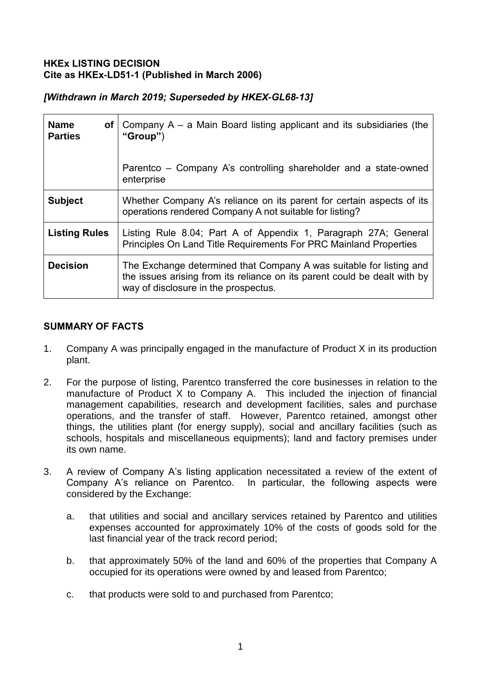## **HKEx LISTING DECISION Cite as HKEx-LD51-1 (Published in March 2006)**

| [Withdrawn in March 2019; Superseded by HKEX-GL68-13] |  |  |  |
|-------------------------------------------------------|--|--|--|
|-------------------------------------------------------|--|--|--|

| <b>Name</b><br><b>of</b><br><b>Parties</b> | Company $A - a$ Main Board listing applicant and its subsidiaries (the<br>" $Group"$ )<br>Parentco – Company A's controlling shareholder and a state-owned<br>enterprise                 |
|--------------------------------------------|------------------------------------------------------------------------------------------------------------------------------------------------------------------------------------------|
| <b>Subject</b>                             | Whether Company A's reliance on its parent for certain aspects of its<br>operations rendered Company A not suitable for listing?                                                         |
| <b>Listing Rules</b>                       | Listing Rule 8.04; Part A of Appendix 1, Paragraph 27A; General<br>Principles On Land Title Requirements For PRC Mainland Properties                                                     |
| <b>Decision</b>                            | The Exchange determined that Company A was suitable for listing and<br>the issues arising from its reliance on its parent could be dealt with by<br>way of disclosure in the prospectus. |

## **SUMMARY OF FACTS**

- 1. Company A was principally engaged in the manufacture of Product X in its production plant.
- 2. For the purpose of listing, Parentco transferred the core businesses in relation to the manufacture of Product X to Company A. This included the injection of financial management capabilities, research and development facilities, sales and purchase operations, and the transfer of staff. However, Parentco retained, amongst other things, the utilities plant (for energy supply), social and ancillary facilities (such as schools, hospitals and miscellaneous equipments); land and factory premises under its own name.
- 3. A review of Company A's listing application necessitated a review of the extent of Company A's reliance on Parentco. In particular, the following aspects were considered by the Exchange:
	- a. that utilities and social and ancillary services retained by Parentco and utilities expenses accounted for approximately 10% of the costs of goods sold for the last financial year of the track record period;
	- b. that approximately 50% of the land and 60% of the properties that Company A occupied for its operations were owned by and leased from Parentco;
	- c. that products were sold to and purchased from Parentco;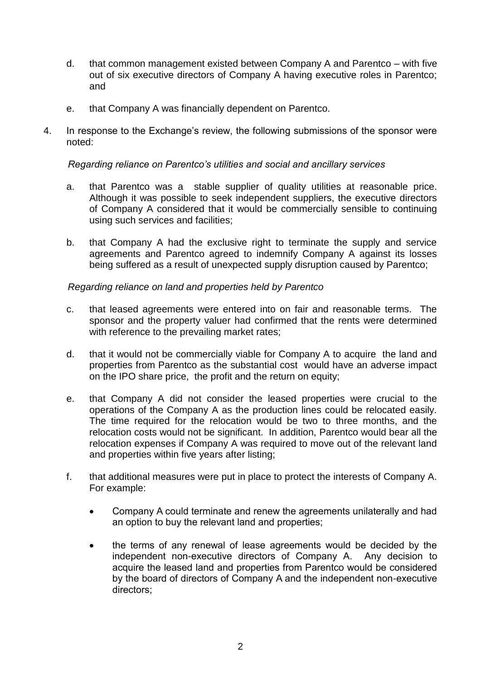- d. that common management existed between Company A and Parentco with five out of six executive directors of Company A having executive roles in Parentco; and
- e. that Company A was financially dependent on Parentco.
- 4. In response to the Exchange's review, the following submissions of the sponsor were noted:

#### *Regarding reliance on Parentco's utilities and social and ancillary services*

- a. that Parentco was a stable supplier of quality utilities at reasonable price. Although it was possible to seek independent suppliers, the executive directors of Company A considered that it would be commercially sensible to continuing using such services and facilities;
- b. that Company A had the exclusive right to terminate the supply and service agreements and Parentco agreed to indemnify Company A against its losses being suffered as a result of unexpected supply disruption caused by Parentco;

#### *Regarding reliance on land and properties held by Parentco*

- c. that leased agreements were entered into on fair and reasonable terms. The sponsor and the property valuer had confirmed that the rents were determined with reference to the prevailing market rates;
- d. that it would not be commercially viable for Company A to acquire the land and properties from Parentco as the substantial cost would have an adverse impact on the IPO share price, the profit and the return on equity;
- e. that Company A did not consider the leased properties were crucial to the operations of the Company A as the production lines could be relocated easily. The time required for the relocation would be two to three months, and the relocation costs would not be significant. In addition, Parentco would bear all the relocation expenses if Company A was required to move out of the relevant land and properties within five years after listing;
- f. that additional measures were put in place to protect the interests of Company A. For example:
	- Company A could terminate and renew the agreements unilaterally and had an option to buy the relevant land and properties;
	- the terms of any renewal of lease agreements would be decided by the independent non-executive directors of Company A. Any decision to acquire the leased land and properties from Parentco would be considered by the board of directors of Company A and the independent non-executive directors;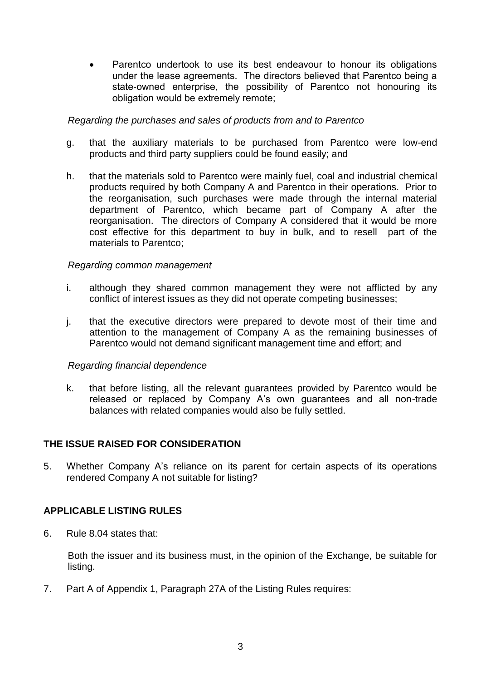Parentco undertook to use its best endeavour to honour its obligations under the lease agreements. The directors believed that Parentco being a state-owned enterprise, the possibility of Parentco not honouring its obligation would be extremely remote;

#### *Regarding the purchases and sales of products from and to Parentco*

- g. that the auxiliary materials to be purchased from Parentco were low-end products and third party suppliers could be found easily; and
- h. that the materials sold to Parentco were mainly fuel, coal and industrial chemical products required by both Company A and Parentco in their operations. Prior to the reorganisation, such purchases were made through the internal material department of Parentco, which became part of Company A after the reorganisation. The directors of Company A considered that it would be more cost effective for this department to buy in bulk, and to resell part of the materials to Parentco;

## *Regarding common management*

- i. although they shared common management they were not afflicted by any conflict of interest issues as they did not operate competing businesses;
- j. that the executive directors were prepared to devote most of their time and attention to the management of Company A as the remaining businesses of Parentco would not demand significant management time and effort; and

#### *Regarding financial dependence*

k. that before listing, all the relevant guarantees provided by Parentco would be released or replaced by Company A's own guarantees and all non-trade balances with related companies would also be fully settled.

# **THE ISSUE RAISED FOR CONSIDERATION**

5. Whether Company A's reliance on its parent for certain aspects of its operations rendered Company A not suitable for listing?

# **APPLICABLE LISTING RULES**

6. Rule 8.04 states that:

Both the issuer and its business must, in the opinion of the Exchange, be suitable for listing.

7. Part A of Appendix 1, Paragraph 27A of the Listing Rules requires: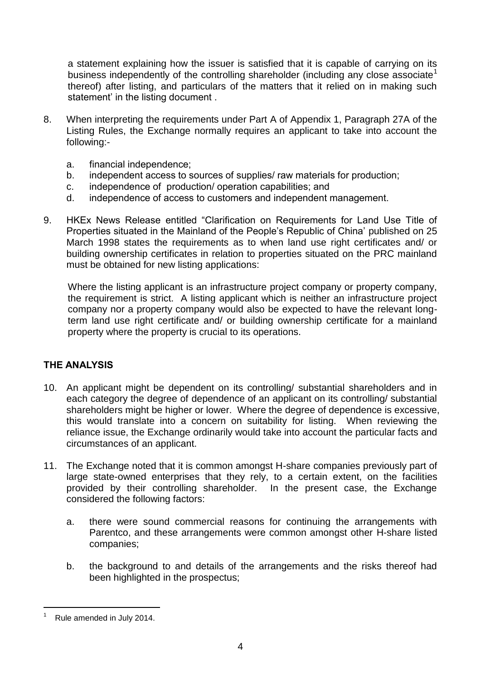a statement explaining how the issuer is satisfied that it is capable of carrying on its business independently of the controlling shareholder (including any close associate<sup>1</sup> thereof) after listing, and particulars of the matters that it relied on in making such statement' in the listing document .

- 8. When interpreting the requirements under Part A of Appendix 1, Paragraph 27A of the Listing Rules, the Exchange normally requires an applicant to take into account the following:
	- a. financial independence;
	- b. independent access to sources of supplies/ raw materials for production;
	- c. independence of production/ operation capabilities; and
	- d. independence of access to customers and independent management.
- 9. HKEx News Release entitled "Clarification on Requirements for Land Use Title of Properties situated in the Mainland of the People's Republic of China' published on 25 March 1998 states the requirements as to when land use right certificates and/ or building ownership certificates in relation to properties situated on the PRC mainland must be obtained for new listing applications:

Where the listing applicant is an infrastructure project company or property company, the requirement is strict. A listing applicant which is neither an infrastructure project company nor a property company would also be expected to have the relevant longterm land use right certificate and/ or building ownership certificate for a mainland property where the property is crucial to its operations.

# **THE ANALYSIS**

- 10. An applicant might be dependent on its controlling/ substantial shareholders and in each category the degree of dependence of an applicant on its controlling/ substantial shareholders might be higher or lower. Where the degree of dependence is excessive, this would translate into a concern on suitability for listing. When reviewing the reliance issue, the Exchange ordinarily would take into account the particular facts and circumstances of an applicant.
- 11. The Exchange noted that it is common amongst H-share companies previously part of large state-owned enterprises that they rely, to a certain extent, on the facilities provided by their controlling shareholder. In the present case, the Exchange considered the following factors:
	- a. there were sound commercial reasons for continuing the arrangements with Parentco, and these arrangements were common amongst other H-share listed companies;
	- b. the background to and details of the arrangements and the risks thereof had been highlighted in the prospectus;

<sup>-</sup>Rule amended in July 2014.